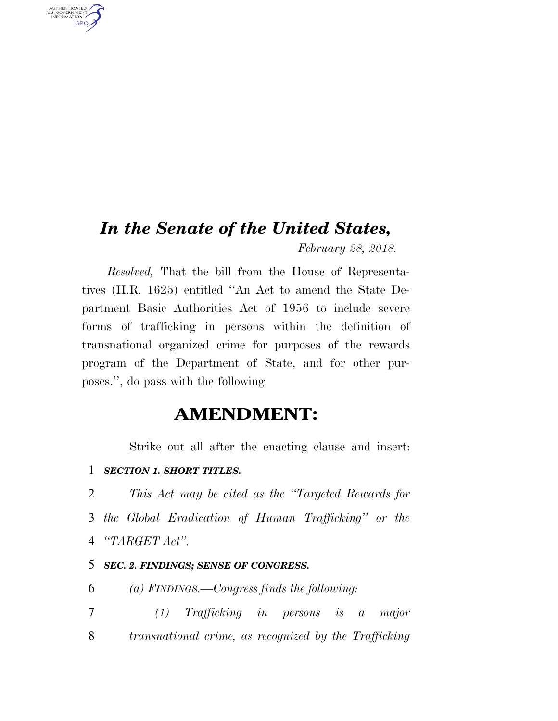## *In the Senate of the United States,*

*February 28, 2018.* 

*Resolved,* That the bill from the House of Representatives (H.R. 1625) entitled ''An Act to amend the State Department Basic Authorities Act of 1956 to include severe forms of trafficking in persons within the definition of transnational organized crime for purposes of the rewards program of the Department of State, and for other purposes.'', do pass with the following

## **AMENDMENT:**

Strike out all after the enacting clause and insert:

1 *SECTION 1. SHORT TITLES.* 

AUTHENTICATED<br>U.S. GOVERNMENT<br>INFORMATION GPO

> 2 *This Act may be cited as the ''Targeted Rewards for*  3 *the Global Eradication of Human Trafficking'' or the*  4 *''TARGET Act''.*

## 5 *SEC. 2. FINDINGS; SENSE OF CONGRESS.*

6 *(a) FINDINGS.—Congress finds the following:* 

7 *(1) Trafficking in persons is a major*  8 *transnational crime, as recognized by the Trafficking*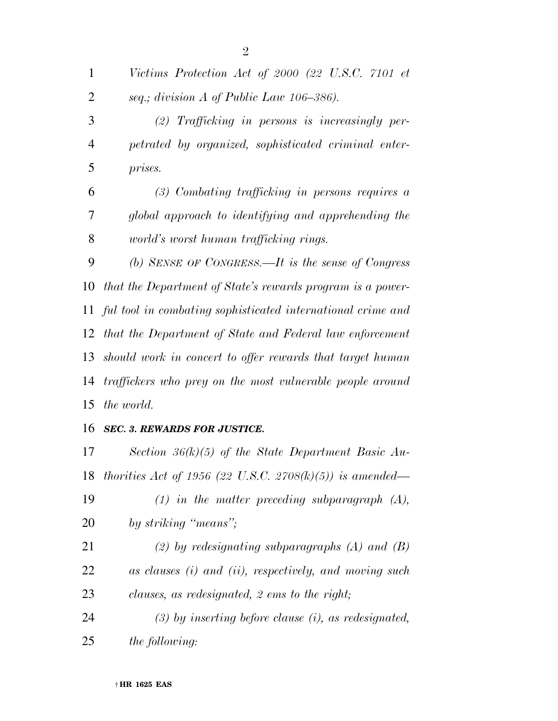*Victims Protection Act of 2000 (22 U.S.C. 7101 et seq.; division A of Public Law 106–386). (2) Trafficking in persons is increasingly per- petrated by organized, sophisticated criminal enter- prises. (3) Combating trafficking in persons requires a global approach to identifying and apprehending the world's worst human trafficking rings. (b) SENSE OF CONGRESS.—It is the sense of Congress that the Department of State's rewards program is a power- ful tool in combating sophisticated international crime and that the Department of State and Federal law enforcement should work in concert to offer rewards that target human traffickers who prey on the most vulnerable people around the world. SEC. 3. REWARDS FOR JUSTICE.* 

 *Section 36(k)(5) of the State Department Basic Au- thorities Act of 1956 (22 U.S.C. 2708(k)(5)) is amended— (1) in the matter preceding subparagraph (A), by striking ''means''; (2) by redesignating subparagraphs (A) and (B) as clauses (i) and (ii), respectively, and moving such clauses, as redesignated, 2 ems to the right; (3) by inserting before clause (i), as redesignated, the following:*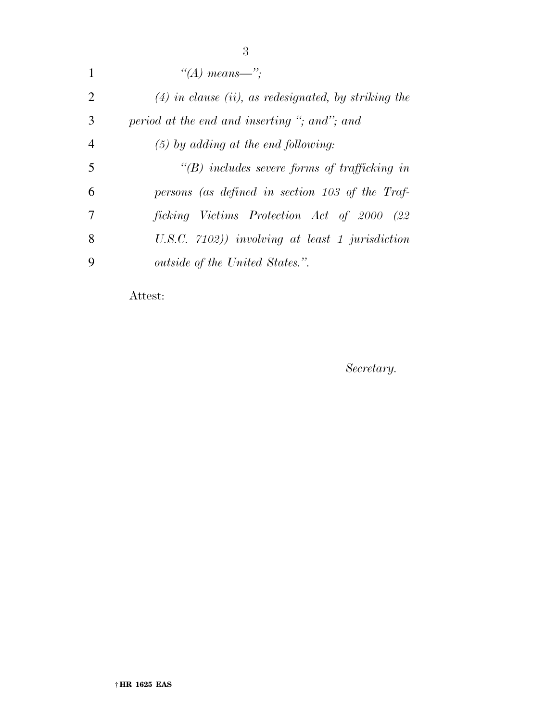| $\mathbf{1}$   | "(A) means—":                                          |
|----------------|--------------------------------------------------------|
| 2              | $(4)$ in clause (ii), as redesignated, by striking the |
| 3              | period at the end and inserting "; and"; and           |
| $\overline{4}$ | $(5)$ by adding at the end following:                  |
| 5              | $\lq\lq B$ includes severe forms of trafficking in     |
| 6              | persons (as defined in section 103 of the Traf-        |
| 7              | ficking Victims Protection Act of 2000 (22             |
| 8              | U.S.C. $7102)$ involving at least 1 jurisdiction       |
| 9              | <i>outside of the United States.".</i>                 |
|                |                                                        |

Attest:

*Secretary.*